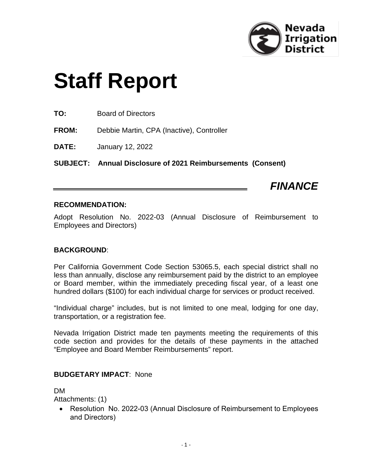

# **Staff Report**

**TO:** Board of Directors

**FROM:** Debbie Martin, CPA (Inactive), Controller

**DATE:** January 12, 2022

**SUBJECT: Annual Disclosure of 2021 Reimbursements (Consent)**

## *FINANCE*

### **RECOMMENDATION:**

Adopt Resolution No. 2022-03 (Annual Disclosure of Reimbursement to Employees and Directors)

### **BACKGROUND**:

Per California Government Code Section 53065.5, each special district shall no less than annually, disclose any reimbursement paid by the district to an employee or Board member, within the immediately preceding fiscal year, of a least one hundred dollars (\$100) for each individual charge for services or product received.

"Individual charge" includes, but is not limited to one meal, lodging for one day, transportation, or a registration fee.

Nevada Irrigation District made ten payments meeting the requirements of this code section and provides for the details of these payments in the attached "Employee and Board Member Reimbursements" report.

### **BUDGETARY IMPACT**: None

### DM

Attachments: (1)

• Resolution No. 2022-03 (Annual Disclosure of Reimbursement to Employees and Directors)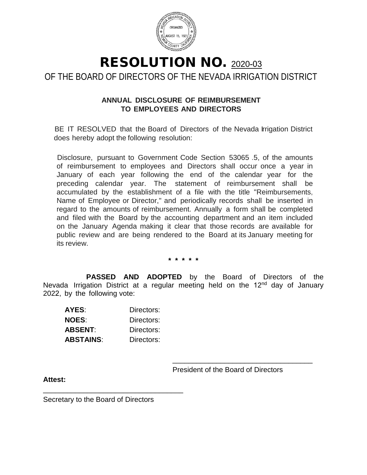

### RESOLUTION NO. <sup>2020</sup>-03 OF THE BOARD OF DIRECTORS OF THE NEVADA IRRIGATION DISTRICT

### **ANNUAL DISCLOSURE OF REIMBURSEMENT TO EMPLOYEES AND DIRECTORS**

BE IT RESOLVED that the Board of Directors of the Nevada Irrigation District does hereby adopt the following resolution:

Disclosure, pursuant to Government Code Section 53065 .5, of the amounts of reimbursement to employees and Directors shall occur once a year in January of each year following the end of the calendar year for the preceding calendar year. The statement of reimbursement shall be accumulated by the establishment of a file with the title "Reimbursements, Name of Employee or Director," and periodically records shall be inserted in regard to the amounts of reimbursement. Annually a form shall be completed and filed with the Board by the accounting department and an item included on the January Agenda making it clear that those records are available for public review and are being rendered to the Board at its January meeting for its review.

**\* \* \* \* \***

**PASSED AND ADOPTED** by the Board of Directors of the Nevada Irrigation District at a regular meeting held on the 12<sup>nd</sup> day of January 2022, by the following vote:

| AYES:        | Directors: |
|--------------|------------|
| <b>NOES:</b> | Directors: |
| ABSENT:      | Directors: |
| ABSTAINS:    | Directors: |

\_\_\_\_\_\_\_\_\_\_\_\_\_\_\_\_\_\_\_\_\_\_\_\_\_\_\_\_\_\_\_\_\_\_\_

President of the Board of Directors

\_\_\_\_\_\_\_\_\_\_\_\_\_\_\_\_\_\_\_\_\_\_\_\_\_\_\_\_\_\_\_\_\_\_\_

**Attest:**

Secretary to the Board of Directors